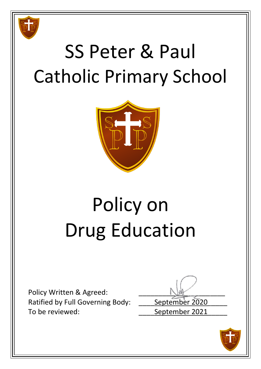

## SS Peter & Paul Catholic Primary School



# Policy on Drug Education

Policy Written & Agreed: Ratified by Full Governing Body: \_\_\_\_\_ September 2020 To be reviewed: To be reviewed:

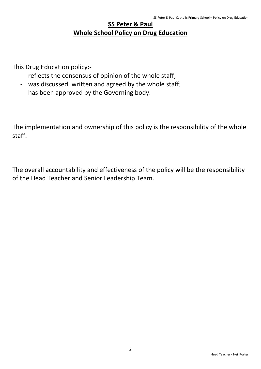### **SS Peter & Paul Whole School Policy on Drug Education**

This Drug Education policy:-

- reflects the consensus of opinion of the whole staff;
- was discussed, written and agreed by the whole staff;
- has been approved by the Governing body.

The implementation and ownership of this policy is the responsibility of the whole staff.

The overall accountability and effectiveness of the policy will be the responsibility of the Head Teacher and Senior Leadership Team.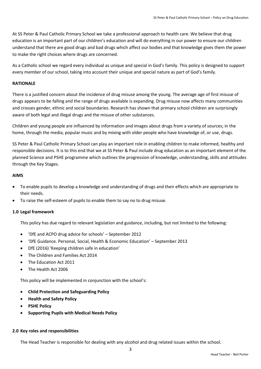At SS Peter & Paul Catholic Primary School we take a professional approach to health care. We believe that drug education is an important part of our children's education and will do everything in our power to ensure our children understand that there are good drugs and bad drugs which affect our bodies and that knowledge gives them the power to make the right choices where drugs are concerned.

As a Catholic school we regard every individual as unique and special in God's family. This policy is designed to support every member of our school, taking into account their unique and special nature as part of God's family.

#### **RATIONALE**

There is a justified concern about the incidence of drug misuse among the young. The average age of first misuse of drugs appears to be falling and the range of drugs available is expanding. Drug misuse now affects many communities and crosses gender, ethnic and social boundaries. Research has shown that primary school children are surprisingly aware of both legal and illegal drugs and the misuse of other substances.

Children and young people are influenced by information and images about drugs from a variety of sources; in the home, through the media, popular music and by mixing with older people who have knowledge of, or use, drugs.

SS Peter & Paul Catholic Primary School can play an important role in enabling children to make informed, healthy and responsible decisions. It is to this end that we at SS Peter & Paul include drug education as an important element of the planned Science and PSHE programme which outlines the progression of knowledge, understanding, skills and attitudes through the Key Stages.

#### **AIMS**

- To enable pupils to develop a knowledge and understanding of drugs and their effects which are appropriate to their needs.
- To raise the self-esteem of pupils to enable them to say no to drug misuse.

#### **1.0 Legal framework**

This policy has due regard to relevant legislation and guidance, including, but not limited to the following:

- 'DfE and ACPO drug advice for schools' September 2012
- 'DfE Guidance. Personal, Social, Health & Economic Education' September 2013
- DfE (2016) 'Keeping children safe in education'
- The Children and Families Act 2014
- The Education Act 2011
- The Health Act 2006

This policy will be implemented in conjunction with the school's:

- **Child Protection and Safeguarding Policy**
- **Health and Safety Policy**
- **PSHE Policy**
- **Supporting Pupils with Medical Needs Policy**

#### **2.0 Key roles and responsibilities**

The Head Teacher is responsible for dealing with any alcohol and drug related issues within the school.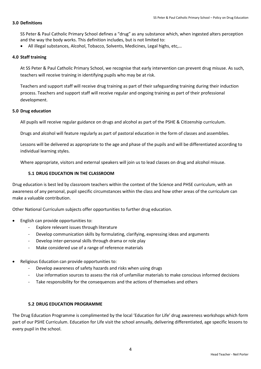#### **3.0 Definitions**

SS Peter & Paul Catholic Primary School defines a "drug" as any substance which, when ingested alters perception and the way the body works. This definition includes, but is not limited to:

All illegal substances, Alcohol, Tobacco, Solvents, Medicines, Legal highs, etc,…

#### **4.0 Staff training**

At SS Peter & Paul Catholic Primary School, we recognise that early intervention can prevent drug misuse. As such, teachers will receive training in identifying pupils who may be at risk.

Teachers and support staff will receive drug training as part of their safeguarding training during their induction process. Teachers and support staff will receive regular and ongoing training as part of their professional development.

#### **5.0 Drug education**

All pupils will receive regular guidance on drugs and alcohol as part of the PSHE & Citizenship curriculum.

Drugs and alcohol will feature regularly as part of pastoral education in the form of classes and assemblies.

Lessons will be delivered as appropriate to the age and phase of the pupils and will be differentiated according to individual learning styles.

Where appropriate, visitors and external speakers will join us to lead classes on drug and alcohol misuse.

#### **5.1 DRUG EDUCATION IN THE CLASSROOM**

Drug education is best led by classroom teachers within the context of the Science and PHSE curriculum, with an awareness of any personal, pupil specific circumstances within the class and how other areas of the curriculum can make a valuable contribution.

Other National Curriculum subjects offer opportunities to further drug education.

- English can provide opportunities to:
	- Explore relevant issues through literature
	- Develop communication skills by formulating, clarifying, expressing ideas and arguments
	- Develop inter-personal skills through drama or role play
	- Make considered use of a range of reference materials
- Religious Education can provide opportunities to:
	- Develop awareness of safety hazards and risks when using drugs
	- Use information sources to assess the risk of unfamiliar materials to make conscious informed decisions
	- Take responsibility for the consequences and the actions of themselves and others

#### **5.2 DRUG EDUCATION PROGRAMME**

The Drug Education Programme is complimented by the local 'Education for Life' drug awareness workshops which form part of our PSHE Curriculum. Education for Life visit the school annually, delivering differentiated, age specific lessons to every pupil in the school.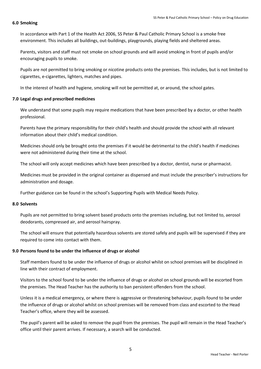#### **6.0 Smoking**

In accordance with Part 1 of the Health Act 2006, SS Peter & Paul Catholic Primary School is a smoke free environment. This includes all buildings, out-buildings, playgrounds, playing fields and sheltered areas.

Parents, visitors and staff must not smoke on school grounds and will avoid smoking in front of pupils and/or encouraging pupils to smoke.

Pupils are not permitted to bring smoking or nicotine products onto the premises. This includes, but is not limited to cigarettes, e-cigarettes, lighters, matches and pipes.

In the interest of health and hygiene, smoking will not be permitted at, or around, the school gates.

#### **7.0 Legal drugs and prescribed medicines**

We understand that some pupils may require medications that have been prescribed by a doctor, or other health professional.

Parents have the primary responsibility for their child's health and should provide the school with all relevant information about their child's medical condition.

Medicines should only be brought onto the premises if it would be detrimental to the child's health if medicines were not administered during their time at the school.

The school will only accept medicines which have been prescribed by a doctor, dentist, nurse or pharmacist.

Medicines must be provided in the original container as dispensed and must include the prescriber's instructions for administration and dosage.

Further guidance can be found in the school's Supporting Pupils with Medical Needs Policy.

#### **8.0 Solvents**

Pupils are not permitted to bring solvent based products onto the premises including, but not limited to, aerosol deodorants, compressed air, and aerosol hairspray.

The school will ensure that potentially hazardous solvents are stored safely and pupils will be supervised if they are required to come into contact with them.

#### **9.0 Persons found to be under the influence of drugs or alcohol**

Staff members found to be under the influence of drugs or alcohol whilst on school premises will be disciplined in line with their contract of employment.

Visitors to the school found to be under the influence of drugs or alcohol on school grounds will be escorted from the premises. The Head Teacher has the authority to ban persistent offenders from the school.

Unless it is a medical emergency, or where there is aggressive or threatening behaviour, pupils found to be under the influence of drugs or alcohol whilst on school premises will be removed from class and escorted to the Head Teacher's office, where they will be assessed.

The pupil's parent will be asked to remove the pupil from the premises. The pupil will remain in the Head Teacher's office until their parent arrives. If necessary, a search will be conducted.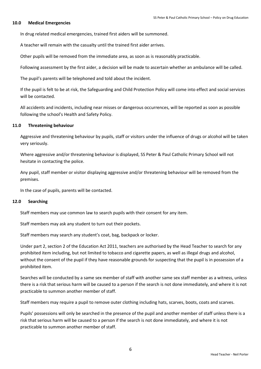#### **10.0 Medical Emergencies**

In drug related medical emergencies, trained first aiders will be summoned.

A teacher will remain with the casualty until the trained first aider arrives.

Other pupils will be removed from the immediate area, as soon as is reasonably practicable.

Following assessment by the first aider, a decision will be made to ascertain whether an ambulance will be called.

The pupil's parents will be telephoned and told about the incident.

If the pupil is felt to be at risk, the Safeguarding and Child Protection Policy will come into effect and social services will be contacted.

All accidents and incidents, including near misses or dangerous occurrences, will be reported as soon as possible following the school's Health and Safety Policy.

#### **11.0 Threatening behaviour**

Aggressive and threatening behaviour by pupils, staff or visitors under the influence of drugs or alcohol will be taken very seriously.

Where aggressive and/or threatening behaviour is displayed, SS Peter & Paul Catholic Primary School will not hesitate in contacting the police.

Any pupil, staff member or visitor displaying aggressive and/or threatening behaviour will be removed from the premises.

In the case of pupils, parents will be contacted.

#### **12.0 Searching**

Staff members may use common law to search pupils with their consent for any item.

Staff members may ask any student to turn out their pockets.

Staff members may search any student's coat, bag, backpack or locker.

Under part 2, section 2 of the Education Act 2011, teachers are authorised by the Head Teacher to search for any prohibited item including, but not limited to tobacco and cigarette papers, as well as illegal drugs and alcohol, without the consent of the pupil if they have reasonable grounds for suspecting that the pupil is in possession of a prohibited item.

Searches will be conducted by a same sex member of staff with another same sex staff member as a witness, unless there is a risk that serious harm will be caused to a person if the search is not done immediately, and where it is not practicable to summon another member of staff.

Staff members may require a pupil to remove outer clothing including hats, scarves, boots, coats and scarves.

Pupils' possessions will only be searched in the presence of the pupil and another member of staff unless there is a risk that serious harm will be caused to a person if the search is not done immediately, and where it is not practicable to summon another member of staff.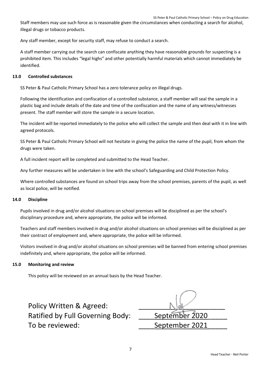Staff members may use such force as is reasonable given the circumstances when conducting a search for alcohol, illegal drugs or tobacco products.

Any staff member, except for security staff, may refuse to conduct a search.

A staff member carrying out the search can confiscate anything they have reasonable grounds for suspecting is a prohibited item. This includes "legal highs" and other potentially harmful materials which cannot immediately be identified.

#### **13.0 Controlled substances**

SS Peter & Paul Catholic Primary School has a zero tolerance policy on illegal drugs.

Following the identification and confiscation of a controlled substance, a staff member will seal the sample in a plastic bag and include details of the date and time of the confiscation and the name of any witness/witnesses present. The staff member will store the sample in a secure location.

The incident will be reported immediately to the police who will collect the sample and then deal with it in line with agreed protocols.

SS Peter & Paul Catholic Primary School will not hesitate in giving the police the name of the pupil, from whom the drugs were taken.

A full incident report will be completed and submitted to the Head Teacher.

Any further measures will be undertaken in line with the school's Safeguarding and Child Protection Policy.

Where controlled substances are found on school trips away from the school premises, parents of the pupil, as well as local police, will be notified.

#### **14.0 Discipline**

Pupils involved in drug and/or alcohol situations on school premises will be disciplined as per the school's disciplinary procedure and, where appropriate, the police will be informed.

Teachers and staff members involved in drug and/or alcohol situations on school premises will be disciplined as per their contract of employment and, where appropriate, the police will be informed.

Visitors involved in drug and/or alcohol situations on school premises will be banned from entering school premises indefinitely and, where appropriate, the police will be informed.

#### **15.0 Monitoring and review**

This policy will be reviewed on an annual basis by the Head Teacher.

| Policy Written & Agreed:                |                |
|-----------------------------------------|----------------|
| <b>Ratified by Full Governing Body:</b> | September 2020 |
| To be reviewed:                         | September 2021 |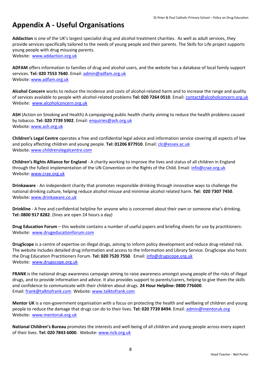### **Appendix A - Useful Organisations**

**Addaction** is one of the UK's largest specialist drug and alcohol treatment charities. As well as adult services, they provide services specifically tailored to the needs of young people and their parents. The Skills for Life project supports young people with drug misusing parents.

Website: [www.addaction.org.uk](http://www.addaction.org.uk/)

**ADFAM** offers information to families of drug and alcohol users, and the website has a database of local family support services. **Tel: 020 7553 7640**. Email: [admin@adfam.org.uk](mailto:admin@adfam.org.uk) Website: [www.adfam.org.uk](http://www.adfam.org.uk/)

**Alcohol Concern** works to reduce the incidence and costs of alcohol-related harm and to increase the range and quality of services available to people with alcohol-related problems **Tel: 020 7264 0510**. Email[: contact@alcoholconcern.org.uk](mailto:contact@alcoholconcern.org.uk) Website: [www.alcoholconcern.org.uk](http://www.alcoholconcern.org.uk/)

**ASH** (Action on Smoking and Health) A campaigning public health charity aiming to reduce the health problems caused by tobacco. **Tel: 020 7739 5902**. Email: [enquiries@ash.org.uk](mailto:enquiries@ash.org.uk) Website: [www.ash.org.uk](http://www.ash.org.uk/)

**Children's Legal Centre** operates a free and confidential legal advice and information service covering all aspects of law and policy affecting children and young people. **Tel: 01206 877910**. Email[: clc@essex.ac.uk](mailto:clc@essex.ac.uk) Website: [www.childrenslegalcentre.com](http://www.childrenslegalcentre.com/)

**Children's Rights Alliance for England** - A charity working to improve the lives and status of all children in England through the fullest implementation of the UN Convention on the Rights of the Child. Email: [info@crae.org.uk](mailto:info@crae.org.uk) Website: [www.crae.org.uk](http://www.crae.org.uk/)

**Drinkaware** - An independent charity that promotes responsible drinking through innovative ways to challenge the national drinking culture, helping reduce alcohol misuse and minimise alcohol related harm. **Tel: 020 7307 7450**. Website: [www.drinkaware.co.uk](http://www.drinkaware.co.uk/)

**Drinkline** - A free and confidential helpline for anyone who is concerned about their own or someone else's drinking. **Tel: 0800 917 8282**. (lines are open 24 hours a day)

**Drug Education Forum** – this website contains a number of useful papers and briefing sheets for use by practitioners: Website: [www.drugeducationforum.com](http://www.drugeducationforum.com/)

**DrugScope** is a centre of expertise on illegal drugs, aiming to inform policy development and reduce drug-related risk. The website includes detailed drug information and access to the Information and Library Service. DrugScope also hosts the Drug Education Practitioners Forum. **Tel: 020 7520 7550**. Email: [info@drugscope.org.uk](mailto:info@drugscope.org.uk) Website: [www.drugscope.org.uk](http://www.drugscope.org.uk/)

**FRANK** is the national drugs awareness campaign aiming to raise awareness amongst young people of the risks of illegal drugs, and to provide information and advice. It also provides support to parents/carers, helping to give them the skills and confidence to communicate with their children about drugs. **24 Hour Helpline: 0800 776600**. Email: [frank@talktofrank.com](mailto:frank@talktofrank.com) Website: [www.talktofrank.com](http://www.talktofrank.com/)

**Mentor UK** is a non-government organisation with a focus on protecting the health and wellbeing of children and young people to reduce the damage that drugs can do to their lives. **Tel: 020 7739 8494**. Email: [admin@mentoruk.org](mailto:admin@mentoruk.org) Website: [www.mentoruk.org.uk](http://www.mentoruk.org.uk/)

**National Children's Bureau** promotes the interests and well-being of all children and young people across every aspect of their lives. **Tel: 020 7843 6000**. Website[: www.ncb.org.uk](http://www.ncb.org.uk/)